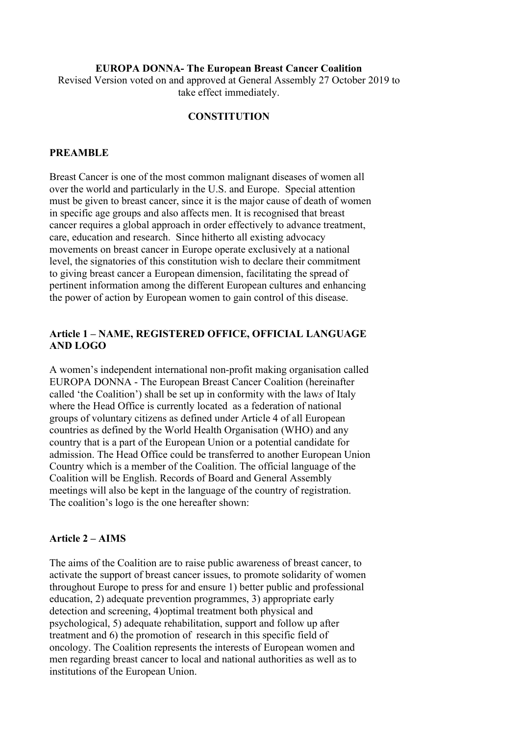#### EUROPA DONNA- The European Breast Cancer Coalition

Revised Version voted on and approved at General Assembly 27 October 2019 to take effect immediately.

#### **CONSTITUTION**

#### PREAMBLE

Breast Cancer is one of the most common malignant diseases of women all over the world and particularly in the U.S. and Europe. Special attention must be given to breast cancer, since it is the major cause of death of women in specific age groups and also affects men. It is recognised that breast cancer requires a global approach in order effectively to advance treatment, care, education and research. Since hitherto all existing advocacy movements on breast cancer in Europe operate exclusively at a national level, the signatories of this constitution wish to declare their commitment to giving breast cancer a European dimension, facilitating the spread of pertinent information among the different European cultures and enhancing the power of action by European women to gain control of this disease.

## Article 1 – NAME, REGISTERED OFFICE, OFFICIAL LANGUAGE AND LOGO

A women's independent international non-profit making organisation called EUROPA DONNA - The European Breast Cancer Coalition (hereinafter called 'the Coalition') shall be set up in conformity with the laws of Italy where the Head Office is currently located as a federation of national groups of voluntary citizens as defined under Article 4 of all European countries as defined by the World Health Organisation (WHO) and any country that is a part of the European Union or a potential candidate for admission. The Head Office could be transferred to another European Union Country which is a member of the Coalition. The official language of the Coalition will be English. Records of Board and General Assembly meetings will also be kept in the language of the country of registration. The coalition's logo is the one hereafter shown:

#### Article 2 – AIMS

The aims of the Coalition are to raise public awareness of breast cancer, to activate the support of breast cancer issues, to promote solidarity of women throughout Europe to press for and ensure 1) better public and professional education, 2) adequate prevention programmes, 3) appropriate early detection and screening, 4)optimal treatment both physical and psychological, 5) adequate rehabilitation, support and follow up after treatment and 6) the promotion of research in this specific field of oncology. The Coalition represents the interests of European women and men regarding breast cancer to local and national authorities as well as to institutions of the European Union.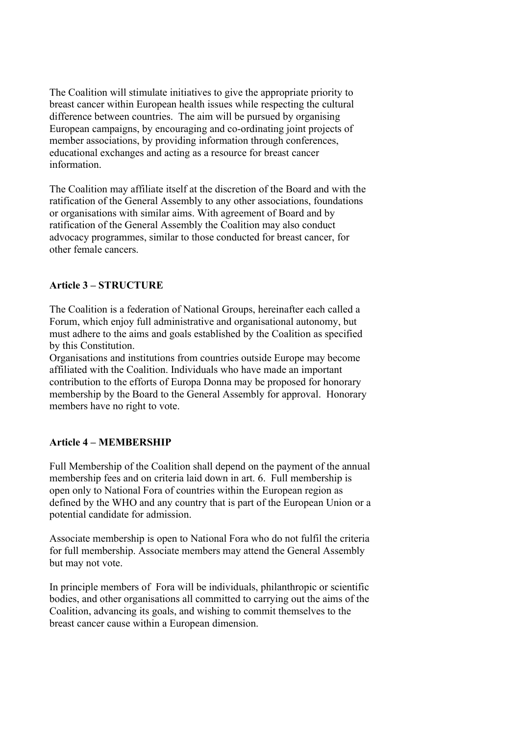The Coalition will stimulate initiatives to give the appropriate priority to breast cancer within European health issues while respecting the cultural difference between countries. The aim will be pursued by organising European campaigns, by encouraging and co-ordinating joint projects of member associations, by providing information through conferences, educational exchanges and acting as a resource for breast cancer information.

The Coalition may affiliate itself at the discretion of the Board and with the ratification of the General Assembly to any other associations, foundations or organisations with similar aims. With agreement of Board and by ratification of the General Assembly the Coalition may also conduct advocacy programmes, similar to those conducted for breast cancer, for other female cancers.

## Article 3 – STRUCTURE

The Coalition is a federation of National Groups, hereinafter each called a Forum, which enjoy full administrative and organisational autonomy, but must adhere to the aims and goals established by the Coalition as specified by this Constitution.

Organisations and institutions from countries outside Europe may become affiliated with the Coalition. Individuals who have made an important contribution to the efforts of Europa Donna may be proposed for honorary membership by the Board to the General Assembly for approval. Honorary members have no right to vote.

# Article 4 – MEMBERSHIP

Full Membership of the Coalition shall depend on the payment of the annual membership fees and on criteria laid down in art. 6. Full membership is open only to National Fora of countries within the European region as defined by the WHO and any country that is part of the European Union or a potential candidate for admission.

Associate membership is open to National Fora who do not fulfil the criteria for full membership. Associate members may attend the General Assembly but may not vote.

In principle members of Fora will be individuals, philanthropic or scientific bodies, and other organisations all committed to carrying out the aims of the Coalition, advancing its goals, and wishing to commit themselves to the breast cancer cause within a European dimension.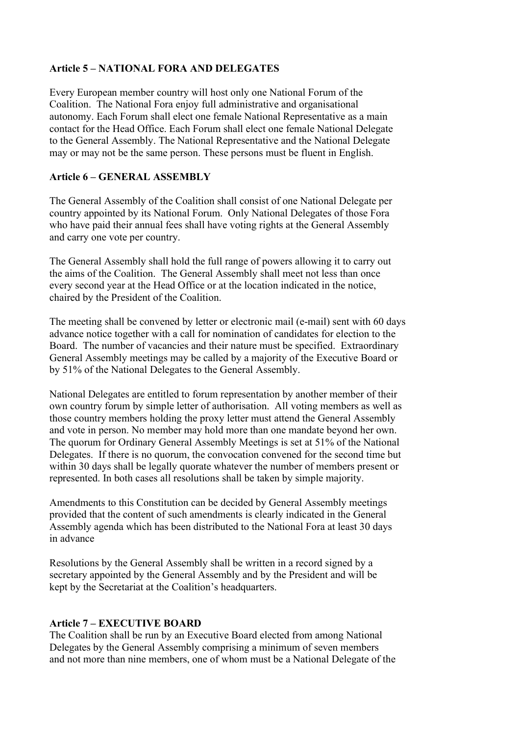## Article 5 – NATIONAL FORA AND DELEGATES

Every European member country will host only one National Forum of the Coalition. The National Fora enjoy full administrative and organisational autonomy. Each Forum shall elect one female National Representative as a main contact for the Head Office. Each Forum shall elect one female National Delegate to the General Assembly. The National Representative and the National Delegate may or may not be the same person. These persons must be fluent in English.

### Article 6 – GENERAL ASSEMBLY

The General Assembly of the Coalition shall consist of one National Delegate per country appointed by its National Forum. Only National Delegates of those Fora who have paid their annual fees shall have voting rights at the General Assembly and carry one vote per country.

The General Assembly shall hold the full range of powers allowing it to carry out the aims of the Coalition. The General Assembly shall meet not less than once every second year at the Head Office or at the location indicated in the notice, chaired by the President of the Coalition.

The meeting shall be convened by letter or electronic mail (e-mail) sent with 60 days advance notice together with a call for nomination of candidates for election to the Board. The number of vacancies and their nature must be specified. Extraordinary General Assembly meetings may be called by a majority of the Executive Board or by 51% of the National Delegates to the General Assembly.

National Delegates are entitled to forum representation by another member of their own country forum by simple letter of authorisation. All voting members as well as those country members holding the proxy letter must attend the General Assembly and vote in person. No member may hold more than one mandate beyond her own. The quorum for Ordinary General Assembly Meetings is set at 51% of the National Delegates. If there is no quorum, the convocation convened for the second time but within 30 days shall be legally quorate whatever the number of members present or represented. In both cases all resolutions shall be taken by simple majority.

Amendments to this Constitution can be decided by General Assembly meetings provided that the content of such amendments is clearly indicated in the General Assembly agenda which has been distributed to the National Fora at least 30 days in advance

Resolutions by the General Assembly shall be written in a record signed by a secretary appointed by the General Assembly and by the President and will be kept by the Secretariat at the Coalition's headquarters.

## Article 7 – EXECUTIVE BOARD

The Coalition shall be run by an Executive Board elected from among National Delegates by the General Assembly comprising a minimum of seven members and not more than nine members, one of whom must be a National Delegate of the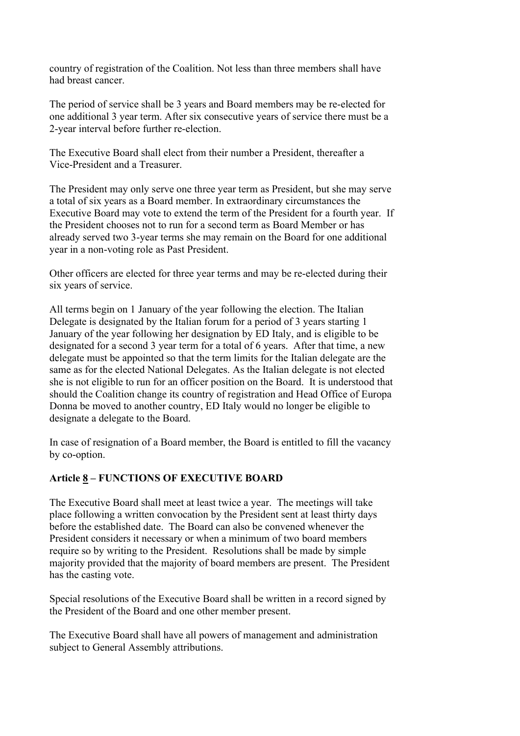country of registration of the Coalition. Not less than three members shall have had breast cancer.

The period of service shall be 3 years and Board members may be re-elected for one additional 3 year term. After six consecutive years of service there must be a 2-year interval before further re-election.

The Executive Board shall elect from their number a President, thereafter a Vice-President and a Treasurer.

The President may only serve one three year term as President, but she may serve a total of six years as a Board member. In extraordinary circumstances the Executive Board may vote to extend the term of the President for a fourth year. If the President chooses not to run for a second term as Board Member or has already served two 3-year terms she may remain on the Board for one additional year in a non-voting role as Past President.

Other officers are elected for three year terms and may be re-elected during their six years of service.

All terms begin on 1 January of the year following the election. The Italian Delegate is designated by the Italian forum for a period of 3 years starting 1 January of the year following her designation by ED Italy, and is eligible to be designated for a second 3 year term for a total of 6 years. After that time, a new delegate must be appointed so that the term limits for the Italian delegate are the same as for the elected National Delegates. As the Italian delegate is not elected she is not eligible to run for an officer position on the Board. It is understood that should the Coalition change its country of registration and Head Office of Europa Donna be moved to another country, ED Italy would no longer be eligible to designate a delegate to the Board.

In case of resignation of a Board member, the Board is entitled to fill the vacancy by co-option.

# Article 8 – FUNCTIONS OF EXECUTIVE BOARD

The Executive Board shall meet at least twice a year. The meetings will take place following a written convocation by the President sent at least thirty days before the established date. The Board can also be convened whenever the President considers it necessary or when a minimum of two board members require so by writing to the President. Resolutions shall be made by simple majority provided that the majority of board members are present. The President has the casting vote.

Special resolutions of the Executive Board shall be written in a record signed by the President of the Board and one other member present.

The Executive Board shall have all powers of management and administration subject to General Assembly attributions.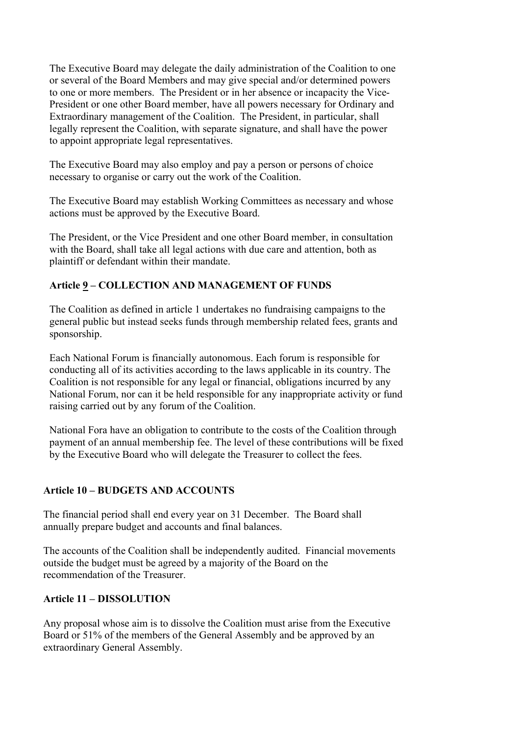The Executive Board may delegate the daily administration of the Coalition to one or several of the Board Members and may give special and/or determined powers to one or more members. The President or in her absence or incapacity the Vice-President or one other Board member, have all powers necessary for Ordinary and Extraordinary management of the Coalition. The President, in particular, shall legally represent the Coalition, with separate signature, and shall have the power to appoint appropriate legal representatives.

The Executive Board may also employ and pay a person or persons of choice necessary to organise or carry out the work of the Coalition.

The Executive Board may establish Working Committees as necessary and whose actions must be approved by the Executive Board.

The President, or the Vice President and one other Board member, in consultation with the Board, shall take all legal actions with due care and attention, both as plaintiff or defendant within their mandate.

# Article 9 – COLLECTION AND MANAGEMENT OF FUNDS

The Coalition as defined in article 1 undertakes no fundraising campaigns to the general public but instead seeks funds through membership related fees, grants and sponsorship.

Each National Forum is financially autonomous. Each forum is responsible for conducting all of its activities according to the laws applicable in its country. The Coalition is not responsible for any legal or financial, obligations incurred by any National Forum, nor can it be held responsible for any inappropriate activity or fund raising carried out by any forum of the Coalition.

National Fora have an obligation to contribute to the costs of the Coalition through payment of an annual membership fee. The level of these contributions will be fixed by the Executive Board who will delegate the Treasurer to collect the fees.

## Article 10 – BUDGETS AND ACCOUNTS

The financial period shall end every year on 31 December. The Board shall annually prepare budget and accounts and final balances.

The accounts of the Coalition shall be independently audited. Financial movements outside the budget must be agreed by a majority of the Board on the recommendation of the Treasurer.

## Article 11 – DISSOLUTION

Any proposal whose aim is to dissolve the Coalition must arise from the Executive Board or 51% of the members of the General Assembly and be approved by an extraordinary General Assembly.